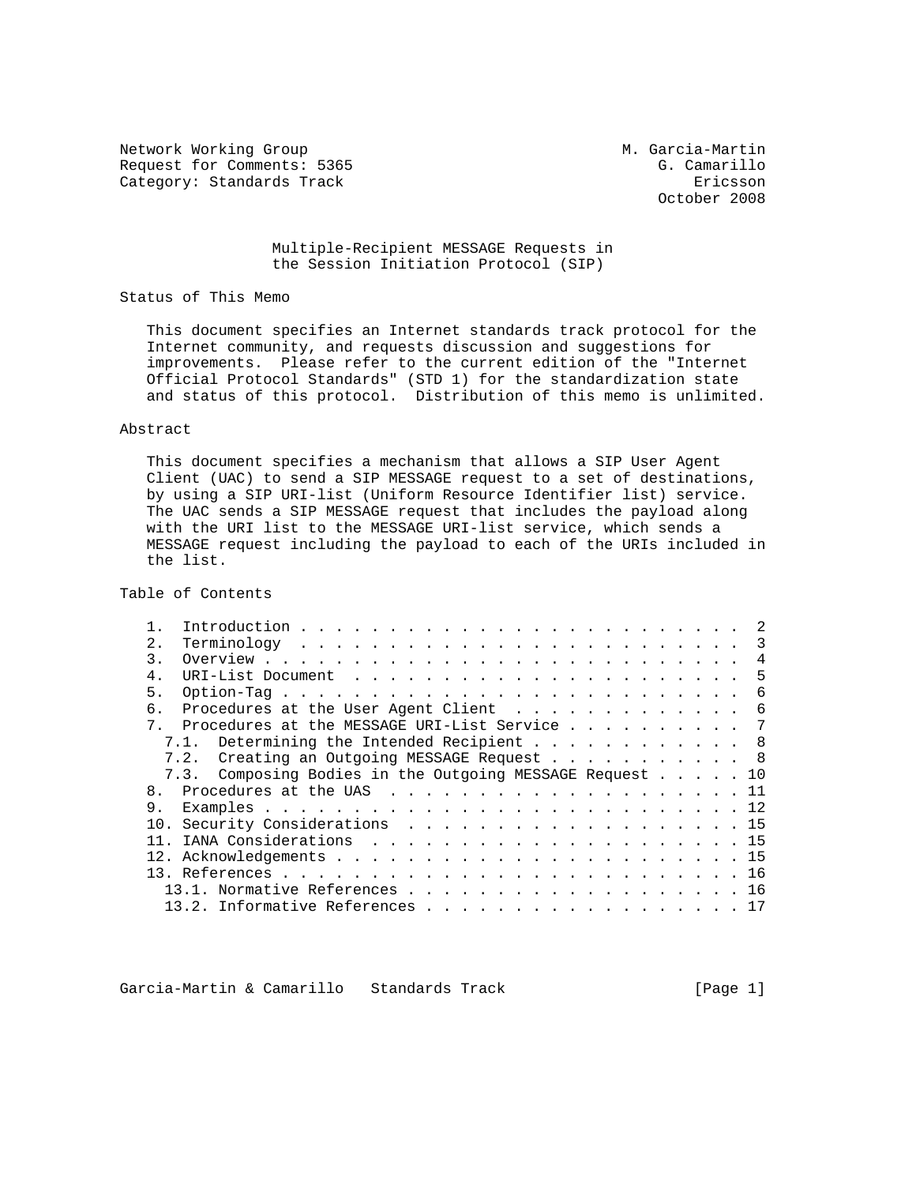Network Working Group M. Garcia-Martin Request for Comments: 5365 G. Camarillo Category: Standards Track Ericsson

October 2008

## Multiple-Recipient MESSAGE Requests in the Session Initiation Protocol (SIP)

Status of This Memo

 This document specifies an Internet standards track protocol for the Internet community, and requests discussion and suggestions for improvements. Please refer to the current edition of the "Internet Official Protocol Standards" (STD 1) for the standardization state and status of this protocol. Distribution of this memo is unlimited.

## Abstract

 This document specifies a mechanism that allows a SIP User Agent Client (UAC) to send a SIP MESSAGE request to a set of destinations, by using a SIP URI-list (Uniform Resource Identifier list) service. The UAC sends a SIP MESSAGE request that includes the payload along with the URI list to the MESSAGE URI-list service, which sends a MESSAGE request including the payload to each of the URIs included in the list.

Table of Contents

| 2.1            |                                                                  |                                      |  |  |  |  |  |  |  |  |  |  | 3 |
|----------------|------------------------------------------------------------------|--------------------------------------|--|--|--|--|--|--|--|--|--|--|---|
| 3.             |                                                                  |                                      |  |  |  |  |  |  |  |  |  |  | 4 |
| 4.             |                                                                  |                                      |  |  |  |  |  |  |  |  |  |  | 5 |
| 5.             |                                                                  |                                      |  |  |  |  |  |  |  |  |  |  | 6 |
|                | Procedures at the User Agent Client                              |                                      |  |  |  |  |  |  |  |  |  |  | 6 |
| $7^{\circ}$    | Procedures at the MESSAGE URI-List Service 7                     |                                      |  |  |  |  |  |  |  |  |  |  |   |
|                | 7.1.                                                             | Determining the Intended Recipient 8 |  |  |  |  |  |  |  |  |  |  |   |
|                | 7.2. Creating an Outgoing MESSAGE Request 8                      |                                      |  |  |  |  |  |  |  |  |  |  |   |
|                |                                                                  |                                      |  |  |  |  |  |  |  |  |  |  |   |
|                | 7.3. Composing Bodies in the Outgoing MESSAGE Request 10         |                                      |  |  |  |  |  |  |  |  |  |  |   |
| 8 <sub>1</sub> |                                                                  |                                      |  |  |  |  |  |  |  |  |  |  |   |
|                |                                                                  |                                      |  |  |  |  |  |  |  |  |  |  |   |
|                |                                                                  |                                      |  |  |  |  |  |  |  |  |  |  |   |
|                |                                                                  |                                      |  |  |  |  |  |  |  |  |  |  |   |
|                |                                                                  |                                      |  |  |  |  |  |  |  |  |  |  |   |
|                |                                                                  |                                      |  |  |  |  |  |  |  |  |  |  |   |
|                | 13.1. Normative References 16<br>13.2. Informative References 17 |                                      |  |  |  |  |  |  |  |  |  |  |   |

Garcia-Martin & Camarillo Standards Track [Page 1]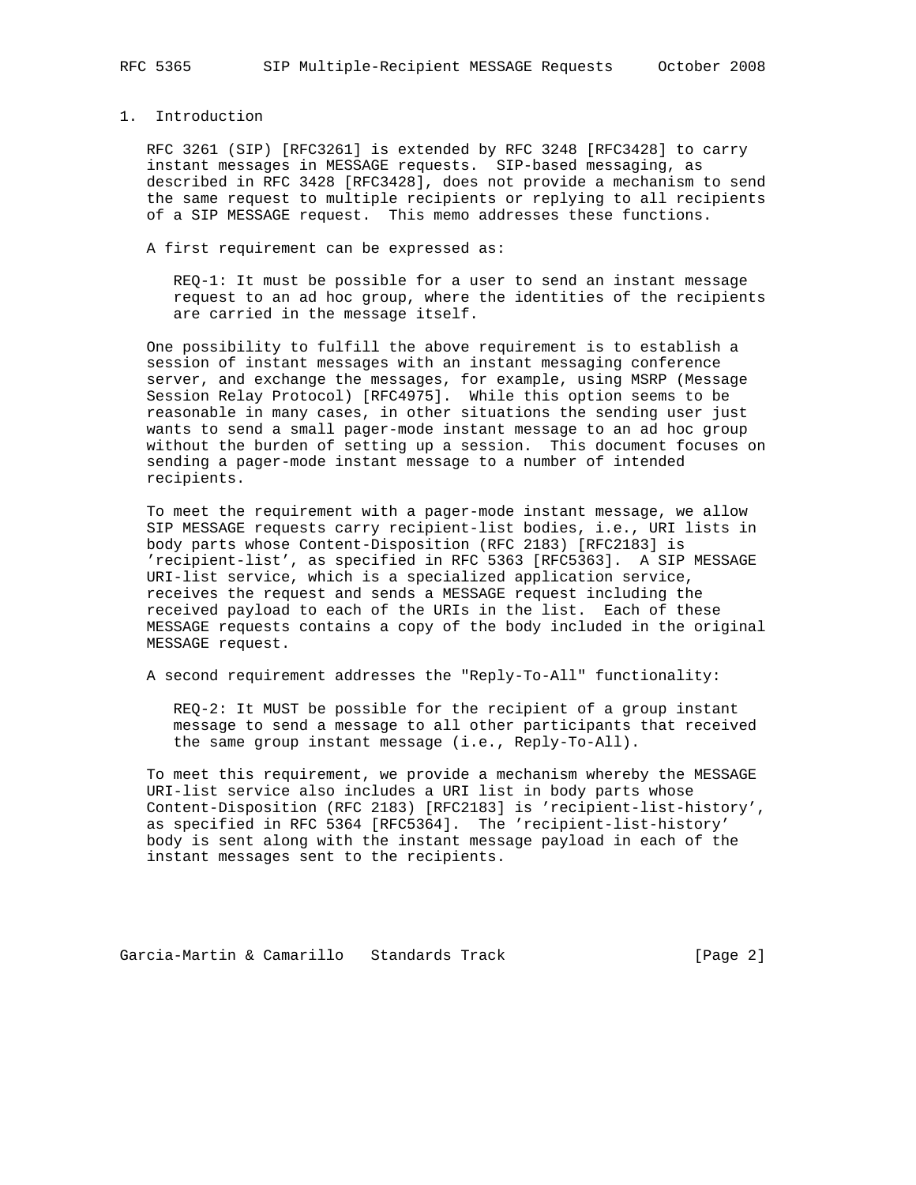# 1. Introduction

 RFC 3261 (SIP) [RFC3261] is extended by RFC 3248 [RFC3428] to carry instant messages in MESSAGE requests. SIP-based messaging, as described in RFC 3428 [RFC3428], does not provide a mechanism to send the same request to multiple recipients or replying to all recipients of a SIP MESSAGE request. This memo addresses these functions.

A first requirement can be expressed as:

 REQ-1: It must be possible for a user to send an instant message request to an ad hoc group, where the identities of the recipients are carried in the message itself.

 One possibility to fulfill the above requirement is to establish a session of instant messages with an instant messaging conference server, and exchange the messages, for example, using MSRP (Message Session Relay Protocol) [RFC4975]. While this option seems to be reasonable in many cases, in other situations the sending user just wants to send a small pager-mode instant message to an ad hoc group without the burden of setting up a session. This document focuses on sending a pager-mode instant message to a number of intended recipients.

 To meet the requirement with a pager-mode instant message, we allow SIP MESSAGE requests carry recipient-list bodies, i.e., URI lists in body parts whose Content-Disposition (RFC 2183) [RFC2183] is 'recipient-list', as specified in RFC 5363 [RFC5363]. A SIP MESSAGE URI-list service, which is a specialized application service, receives the request and sends a MESSAGE request including the received payload to each of the URIs in the list. Each of these MESSAGE requests contains a copy of the body included in the original MESSAGE request.

A second requirement addresses the "Reply-To-All" functionality:

 REQ-2: It MUST be possible for the recipient of a group instant message to send a message to all other participants that received the same group instant message (i.e., Reply-To-All).

 To meet this requirement, we provide a mechanism whereby the MESSAGE URI-list service also includes a URI list in body parts whose Content-Disposition (RFC 2183) [RFC2183] is 'recipient-list-history', as specified in RFC 5364 [RFC5364]. The 'recipient-list-history' body is sent along with the instant message payload in each of the instant messages sent to the recipients.

Garcia-Martin & Camarillo Standards Track [Page 2]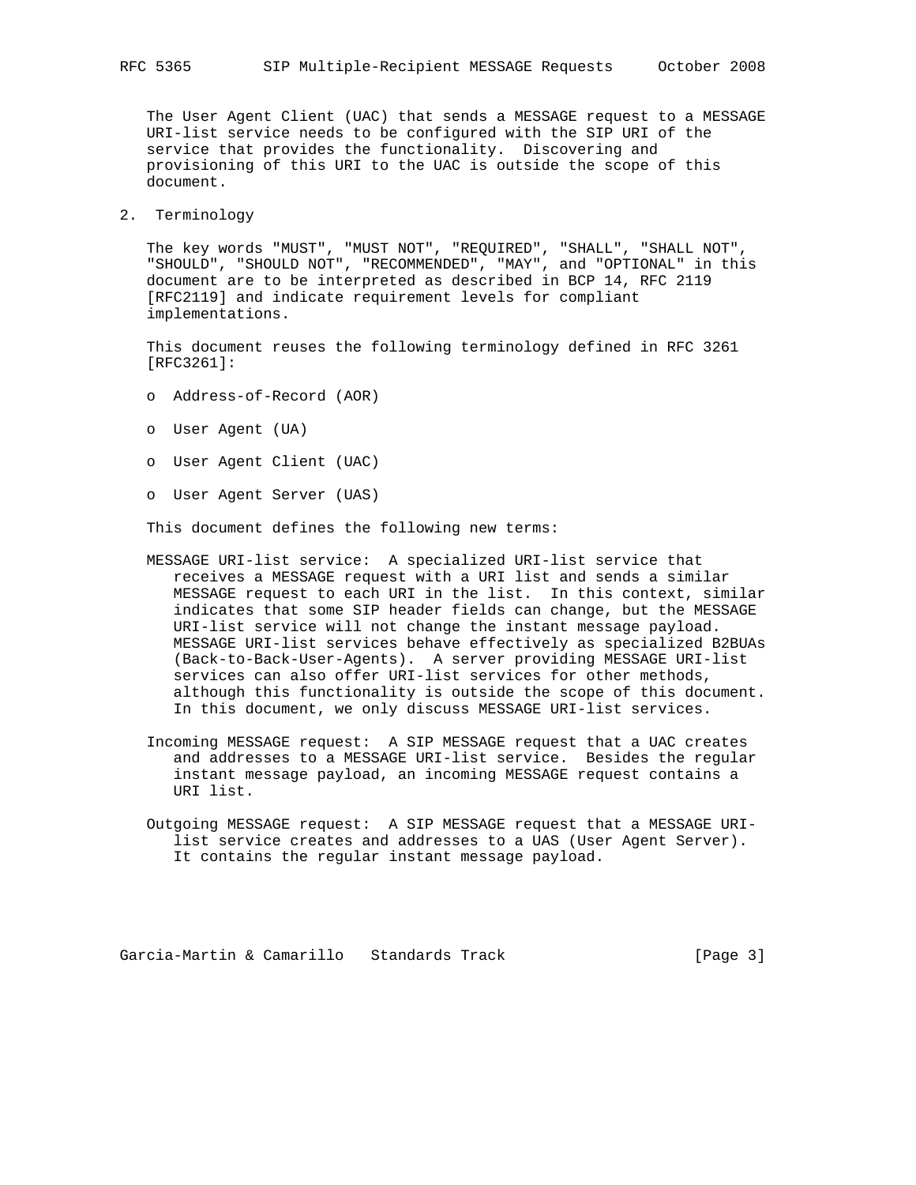The User Agent Client (UAC) that sends a MESSAGE request to a MESSAGE URI-list service needs to be configured with the SIP URI of the service that provides the functionality. Discovering and provisioning of this URI to the UAC is outside the scope of this document.

2. Terminology

 The key words "MUST", "MUST NOT", "REQUIRED", "SHALL", "SHALL NOT", "SHOULD", "SHOULD NOT", "RECOMMENDED", "MAY", and "OPTIONAL" in this document are to be interpreted as described in BCP 14, RFC 2119 [RFC2119] and indicate requirement levels for compliant implementations.

 This document reuses the following terminology defined in RFC 3261 [RFC3261]:

- o Address-of-Record (AOR)
- o User Agent (UA)
- o User Agent Client (UAC)
- o User Agent Server (UAS)

This document defines the following new terms:

- MESSAGE URI-list service: A specialized URI-list service that receives a MESSAGE request with a URI list and sends a similar MESSAGE request to each URI in the list. In this context, similar indicates that some SIP header fields can change, but the MESSAGE URI-list service will not change the instant message payload. MESSAGE URI-list services behave effectively as specialized B2BUAs (Back-to-Back-User-Agents). A server providing MESSAGE URI-list services can also offer URI-list services for other methods, although this functionality is outside the scope of this document. In this document, we only discuss MESSAGE URI-list services.
- Incoming MESSAGE request: A SIP MESSAGE request that a UAC creates and addresses to a MESSAGE URI-list service. Besides the regular instant message payload, an incoming MESSAGE request contains a URI list.
- Outgoing MESSAGE request: A SIP MESSAGE request that a MESSAGE URI list service creates and addresses to a UAS (User Agent Server). It contains the regular instant message payload.

Garcia-Martin & Camarillo Standards Track [Page 3]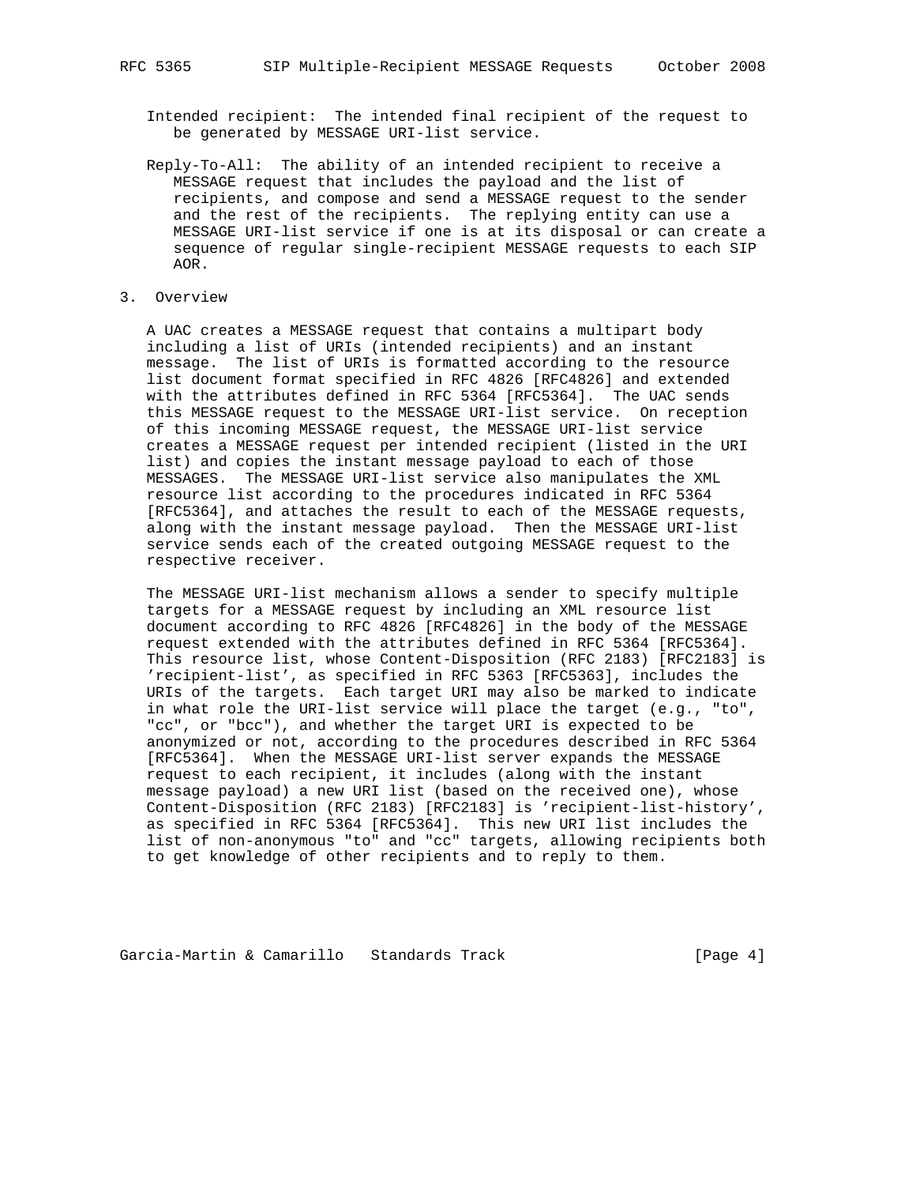Intended recipient: The intended final recipient of the request to be generated by MESSAGE URI-list service.

 Reply-To-All: The ability of an intended recipient to receive a MESSAGE request that includes the payload and the list of recipients, and compose and send a MESSAGE request to the sender and the rest of the recipients. The replying entity can use a MESSAGE URI-list service if one is at its disposal or can create a sequence of regular single-recipient MESSAGE requests to each SIP AOR.

## 3. Overview

 A UAC creates a MESSAGE request that contains a multipart body including a list of URIs (intended recipients) and an instant message. The list of URIs is formatted according to the resource list document format specified in RFC 4826 [RFC4826] and extended with the attributes defined in RFC 5364 [RFC5364]. The UAC sends this MESSAGE request to the MESSAGE URI-list service. On reception of this incoming MESSAGE request, the MESSAGE URI-list service creates a MESSAGE request per intended recipient (listed in the URI list) and copies the instant message payload to each of those MESSAGES. The MESSAGE URI-list service also manipulates the XML resource list according to the procedures indicated in RFC 5364 [RFC5364], and attaches the result to each of the MESSAGE requests, along with the instant message payload. Then the MESSAGE URI-list service sends each of the created outgoing MESSAGE request to the respective receiver.

 The MESSAGE URI-list mechanism allows a sender to specify multiple targets for a MESSAGE request by including an XML resource list document according to RFC 4826 [RFC4826] in the body of the MESSAGE request extended with the attributes defined in RFC 5364 [RFC5364]. This resource list, whose Content-Disposition (RFC 2183) [RFC2183] is 'recipient-list', as specified in RFC 5363 [RFC5363], includes the URIs of the targets. Each target URI may also be marked to indicate in what role the URI-list service will place the target (e.g., "to", "cc", or "bcc"), and whether the target URI is expected to be anonymized or not, according to the procedures described in RFC 5364 [RFC5364]. When the MESSAGE URI-list server expands the MESSAGE request to each recipient, it includes (along with the instant message payload) a new URI list (based on the received one), whose Content-Disposition (RFC 2183) [RFC2183] is 'recipient-list-history', as specified in RFC 5364 [RFC5364]. This new URI list includes the list of non-anonymous "to" and "cc" targets, allowing recipients both to get knowledge of other recipients and to reply to them.

Garcia-Martin & Camarillo Standards Track [Page 4]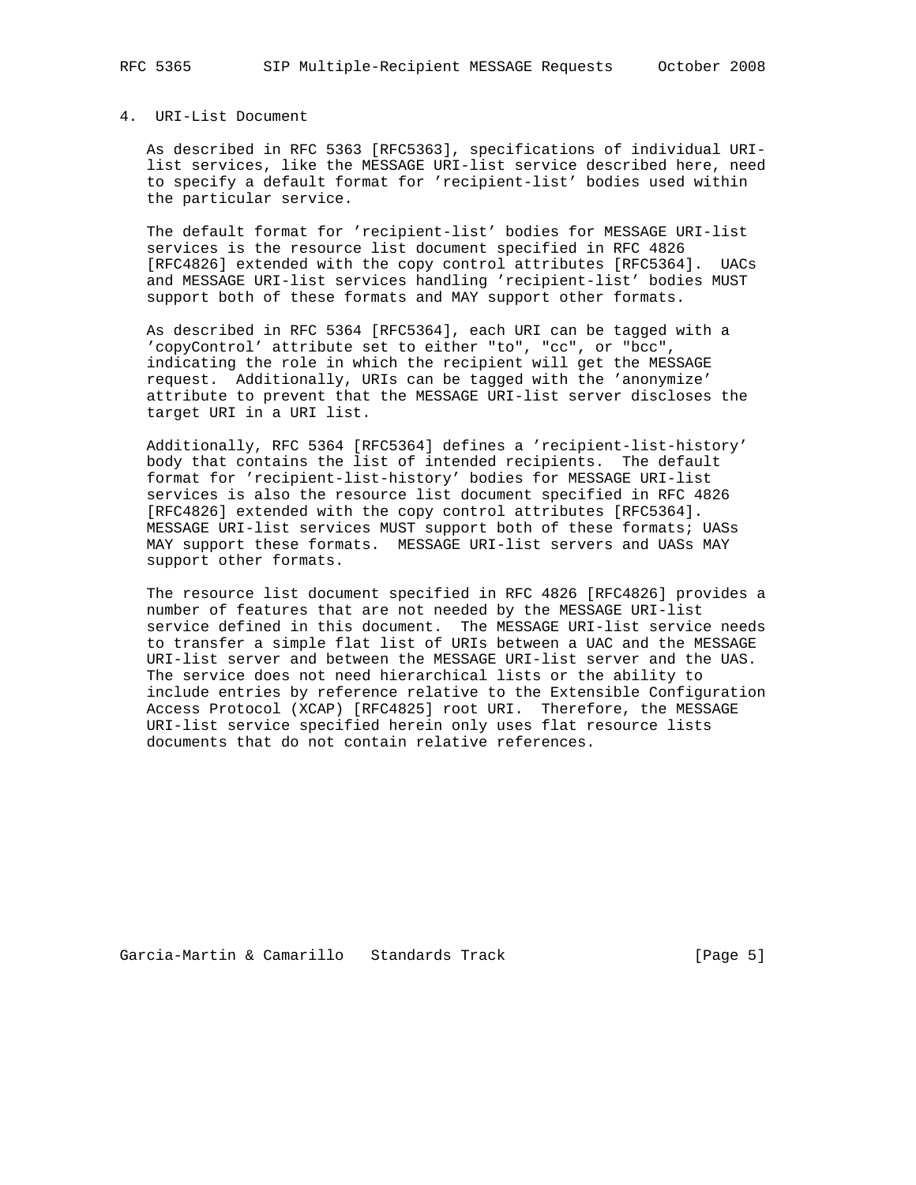### 4. URI-List Document

 As described in RFC 5363 [RFC5363], specifications of individual URI list services, like the MESSAGE URI-list service described here, need to specify a default format for 'recipient-list' bodies used within the particular service.

 The default format for 'recipient-list' bodies for MESSAGE URI-list services is the resource list document specified in RFC 4826 [RFC4826] extended with the copy control attributes [RFC5364]. UACs and MESSAGE URI-list services handling 'recipient-list' bodies MUST support both of these formats and MAY support other formats.

 As described in RFC 5364 [RFC5364], each URI can be tagged with a 'copyControl' attribute set to either "to", "cc", or "bcc", indicating the role in which the recipient will get the MESSAGE request. Additionally, URIs can be tagged with the 'anonymize' attribute to prevent that the MESSAGE URI-list server discloses the target URI in a URI list.

 Additionally, RFC 5364 [RFC5364] defines a 'recipient-list-history' body that contains the list of intended recipients. The default format for 'recipient-list-history' bodies for MESSAGE URI-list services is also the resource list document specified in RFC 4826 [RFC4826] extended with the copy control attributes [RFC5364]. MESSAGE URI-list services MUST support both of these formats; UASs MAY support these formats. MESSAGE URI-list servers and UASs MAY support other formats.

 The resource list document specified in RFC 4826 [RFC4826] provides a number of features that are not needed by the MESSAGE URI-list service defined in this document. The MESSAGE URI-list service needs to transfer a simple flat list of URIs between a UAC and the MESSAGE URI-list server and between the MESSAGE URI-list server and the UAS. The service does not need hierarchical lists or the ability to include entries by reference relative to the Extensible Configuration Access Protocol (XCAP) [RFC4825] root URI. Therefore, the MESSAGE URI-list service specified herein only uses flat resource lists documents that do not contain relative references.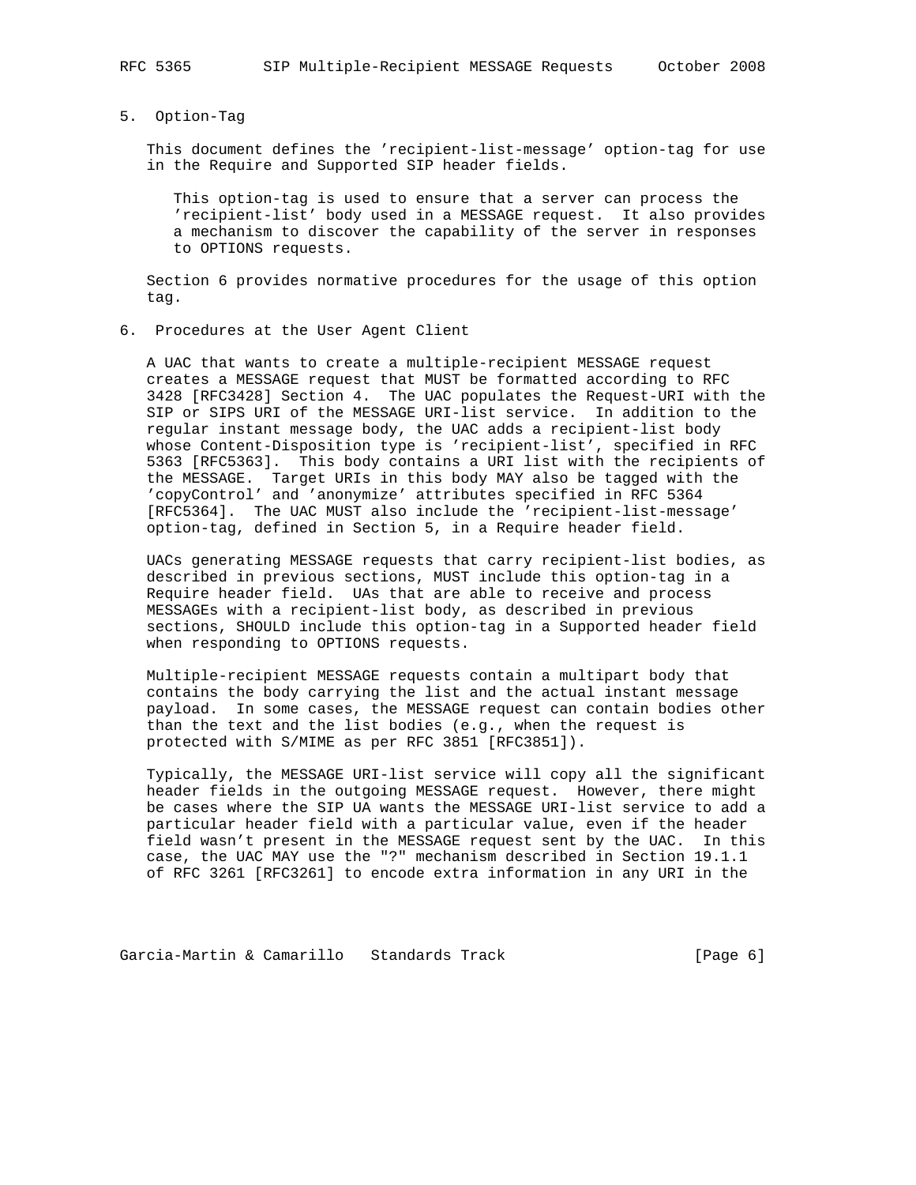# 5. Option-Tag

 This document defines the 'recipient-list-message' option-tag for use in the Require and Supported SIP header fields.

 This option-tag is used to ensure that a server can process the 'recipient-list' body used in a MESSAGE request. It also provides a mechanism to discover the capability of the server in responses to OPTIONS requests.

 Section 6 provides normative procedures for the usage of this option tag.

6. Procedures at the User Agent Client

 A UAC that wants to create a multiple-recipient MESSAGE request creates a MESSAGE request that MUST be formatted according to RFC 3428 [RFC3428] Section 4. The UAC populates the Request-URI with the SIP or SIPS URI of the MESSAGE URI-list service. In addition to the regular instant message body, the UAC adds a recipient-list body whose Content-Disposition type is 'recipient-list', specified in RFC 5363 [RFC5363]. This body contains a URI list with the recipients of the MESSAGE. Target URIs in this body MAY also be tagged with the 'copyControl' and 'anonymize' attributes specified in RFC 5364 [RFC5364]. The UAC MUST also include the 'recipient-list-message' option-tag, defined in Section 5, in a Require header field.

 UACs generating MESSAGE requests that carry recipient-list bodies, as described in previous sections, MUST include this option-tag in a Require header field. UAs that are able to receive and process MESSAGEs with a recipient-list body, as described in previous sections, SHOULD include this option-tag in a Supported header field when responding to OPTIONS requests.

 Multiple-recipient MESSAGE requests contain a multipart body that contains the body carrying the list and the actual instant message payload. In some cases, the MESSAGE request can contain bodies other than the text and the list bodies (e.g., when the request is protected with S/MIME as per RFC 3851 [RFC3851]).

 Typically, the MESSAGE URI-list service will copy all the significant header fields in the outgoing MESSAGE request. However, there might be cases where the SIP UA wants the MESSAGE URI-list service to add a particular header field with a particular value, even if the header field wasn't present in the MESSAGE request sent by the UAC. In this case, the UAC MAY use the "?" mechanism described in Section 19.1.1 of RFC 3261 [RFC3261] to encode extra information in any URI in the

Garcia-Martin & Camarillo Standards Track (Page 6)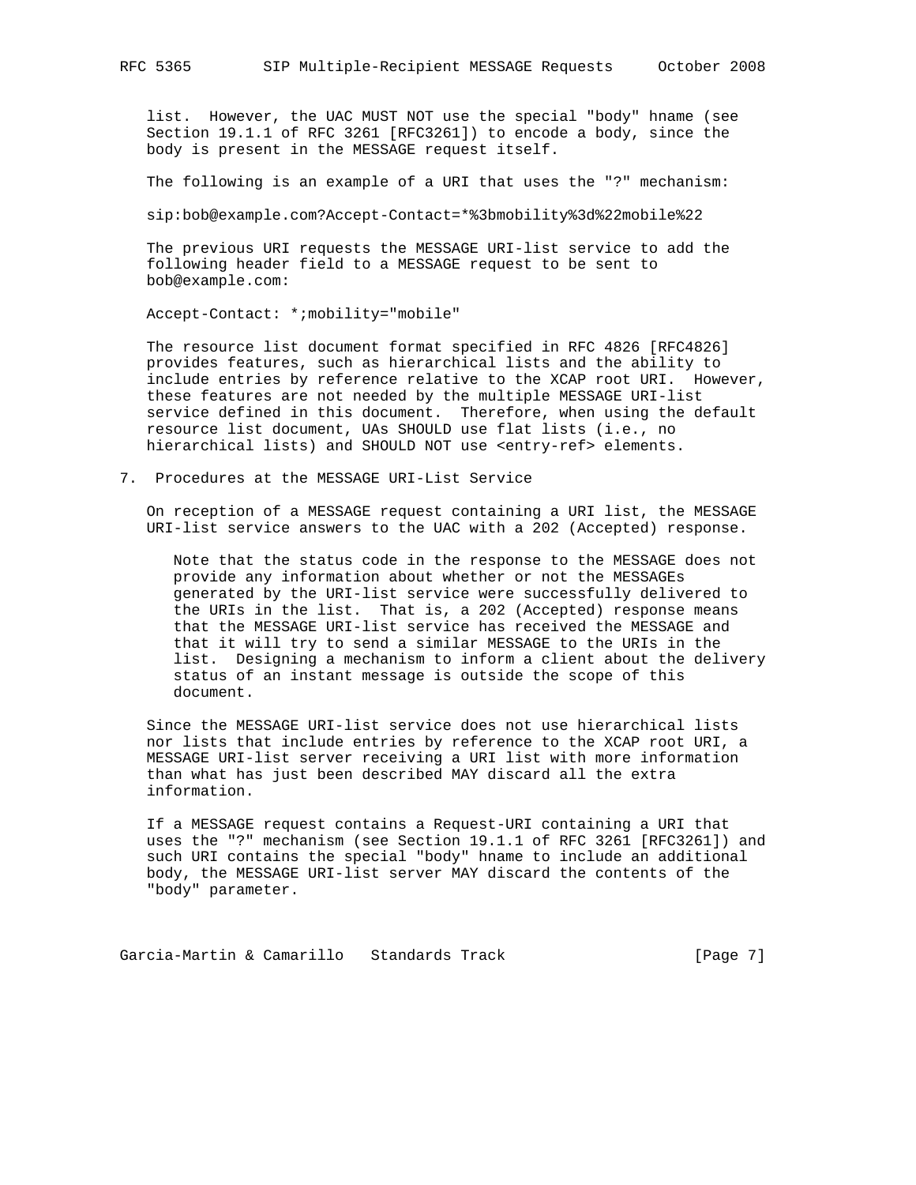list. However, the UAC MUST NOT use the special "body" hname (see Section 19.1.1 of RFC 3261 [RFC3261]) to encode a body, since the body is present in the MESSAGE request itself.

The following is an example of a URI that uses the "?" mechanism:

sip:bob@example.com?Accept-Contact=\*%3bmobility%3d%22mobile%22

 The previous URI requests the MESSAGE URI-list service to add the following header field to a MESSAGE request to be sent to bob@example.com:

Accept-Contact: \*;mobility="mobile"

 The resource list document format specified in RFC 4826 [RFC4826] provides features, such as hierarchical lists and the ability to include entries by reference relative to the XCAP root URI. However, these features are not needed by the multiple MESSAGE URI-list service defined in this document. Therefore, when using the default resource list document, UAs SHOULD use flat lists (i.e., no hierarchical lists) and SHOULD NOT use <entry-ref> elements.

7. Procedures at the MESSAGE URI-List Service

 On reception of a MESSAGE request containing a URI list, the MESSAGE URI-list service answers to the UAC with a 202 (Accepted) response.

 Note that the status code in the response to the MESSAGE does not provide any information about whether or not the MESSAGEs generated by the URI-list service were successfully delivered to the URIs in the list. That is, a 202 (Accepted) response means that the MESSAGE URI-list service has received the MESSAGE and that it will try to send a similar MESSAGE to the URIs in the list. Designing a mechanism to inform a client about the delivery status of an instant message is outside the scope of this document.

 Since the MESSAGE URI-list service does not use hierarchical lists nor lists that include entries by reference to the XCAP root URI, a MESSAGE URI-list server receiving a URI list with more information than what has just been described MAY discard all the extra information.

 If a MESSAGE request contains a Request-URI containing a URI that uses the "?" mechanism (see Section 19.1.1 of RFC 3261 [RFC3261]) and such URI contains the special "body" hname to include an additional body, the MESSAGE URI-list server MAY discard the contents of the "body" parameter.

Garcia-Martin & Camarillo Standards Track [Page 7]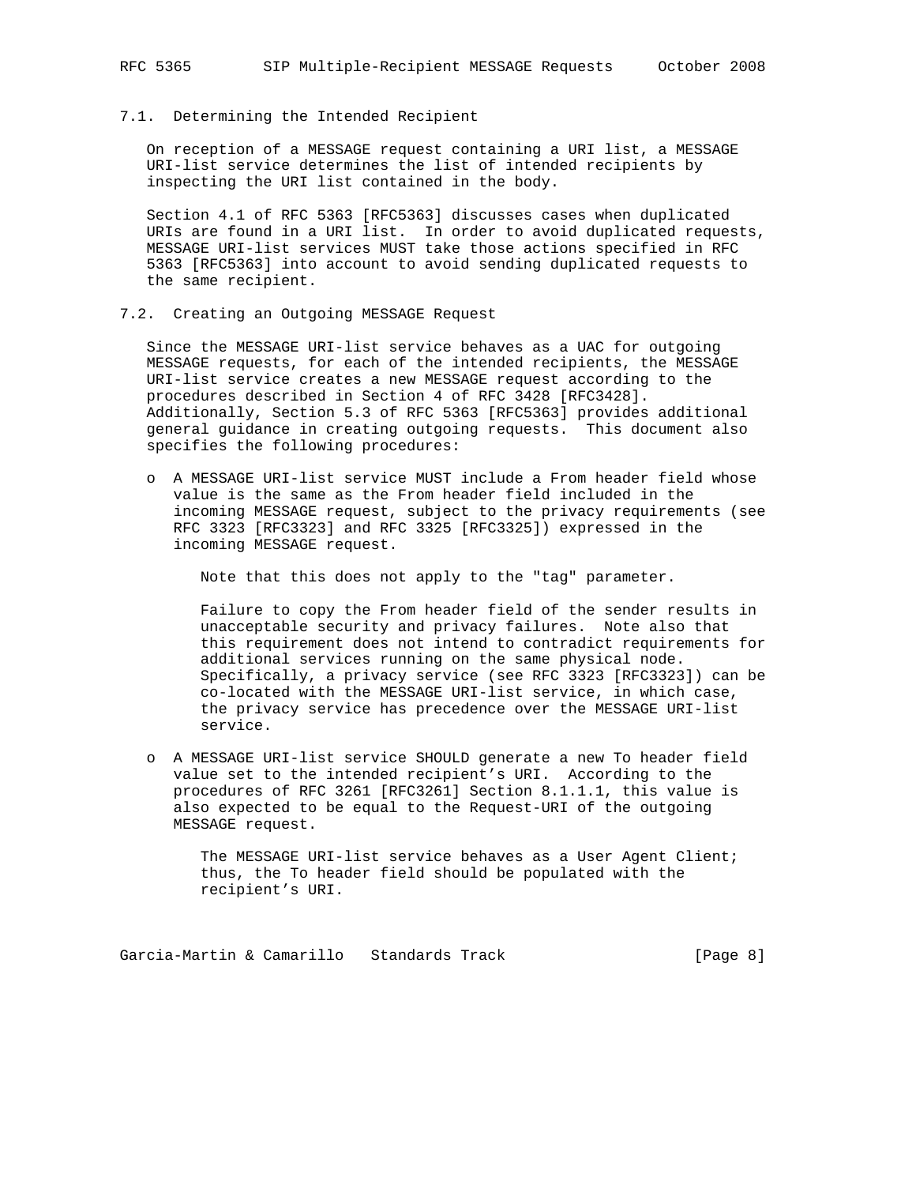# 7.1. Determining the Intended Recipient

 On reception of a MESSAGE request containing a URI list, a MESSAGE URI-list service determines the list of intended recipients by inspecting the URI list contained in the body.

 Section 4.1 of RFC 5363 [RFC5363] discusses cases when duplicated URIs are found in a URI list. In order to avoid duplicated requests, MESSAGE URI-list services MUST take those actions specified in RFC 5363 [RFC5363] into account to avoid sending duplicated requests to the same recipient.

## 7.2. Creating an Outgoing MESSAGE Request

 Since the MESSAGE URI-list service behaves as a UAC for outgoing MESSAGE requests, for each of the intended recipients, the MESSAGE URI-list service creates a new MESSAGE request according to the procedures described in Section 4 of RFC 3428 [RFC3428]. Additionally, Section 5.3 of RFC 5363 [RFC5363] provides additional general guidance in creating outgoing requests. This document also specifies the following procedures:

 o A MESSAGE URI-list service MUST include a From header field whose value is the same as the From header field included in the incoming MESSAGE request, subject to the privacy requirements (see RFC 3323 [RFC3323] and RFC 3325 [RFC3325]) expressed in the incoming MESSAGE request.

Note that this does not apply to the "tag" parameter.

 Failure to copy the From header field of the sender results in unacceptable security and privacy failures. Note also that this requirement does not intend to contradict requirements for additional services running on the same physical node. Specifically, a privacy service (see RFC 3323 [RFC3323]) can be co-located with the MESSAGE URI-list service, in which case, the privacy service has precedence over the MESSAGE URI-list service.

 o A MESSAGE URI-list service SHOULD generate a new To header field value set to the intended recipient's URI. According to the procedures of RFC 3261 [RFC3261] Section 8.1.1.1, this value is also expected to be equal to the Request-URI of the outgoing MESSAGE request.

 The MESSAGE URI-list service behaves as a User Agent Client; thus, the To header field should be populated with the recipient's URI.

Garcia-Martin & Camarillo Standards Track Track [Page 8]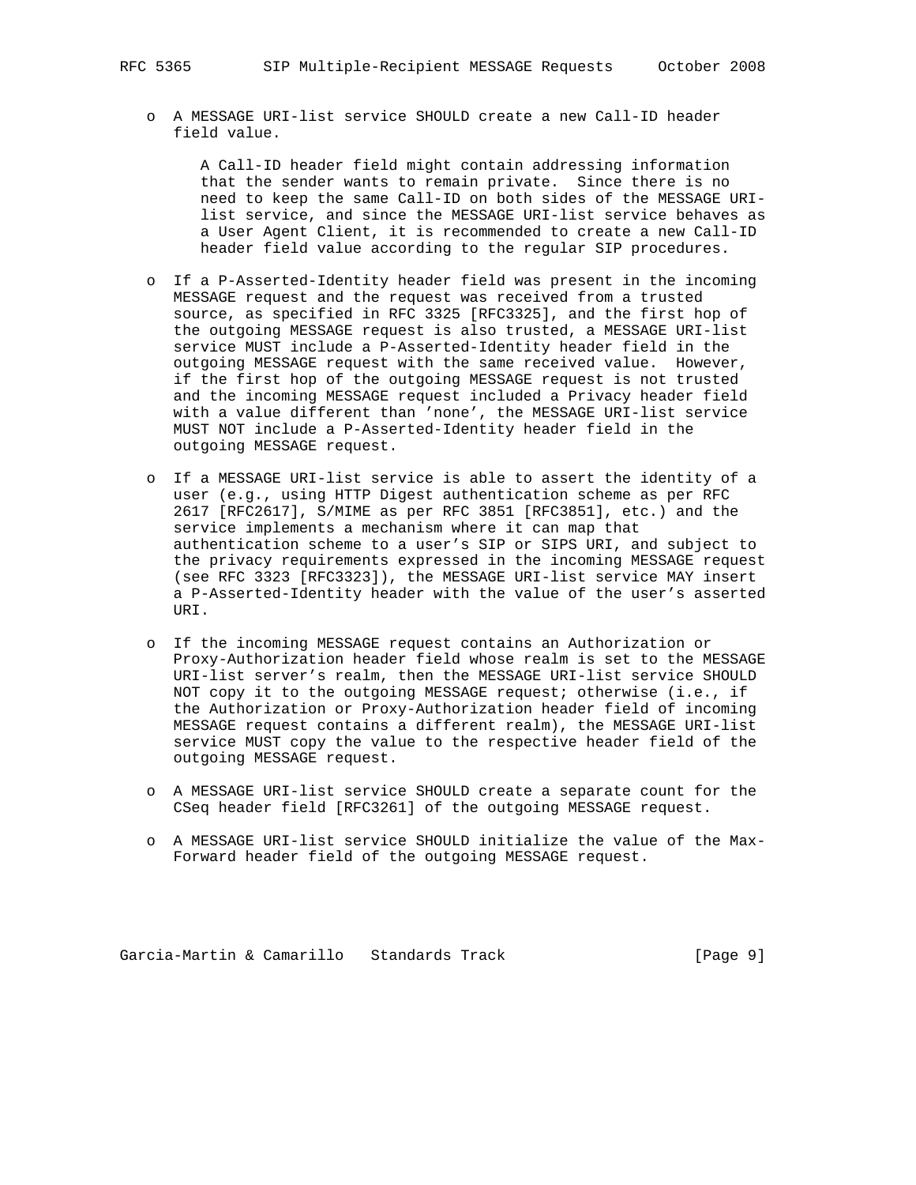o A MESSAGE URI-list service SHOULD create a new Call-ID header field value.

 A Call-ID header field might contain addressing information that the sender wants to remain private. Since there is no need to keep the same Call-ID on both sides of the MESSAGE URI list service, and since the MESSAGE URI-list service behaves as a User Agent Client, it is recommended to create a new Call-ID header field value according to the regular SIP procedures.

- o If a P-Asserted-Identity header field was present in the incoming MESSAGE request and the request was received from a trusted source, as specified in RFC 3325 [RFC3325], and the first hop of the outgoing MESSAGE request is also trusted, a MESSAGE URI-list service MUST include a P-Asserted-Identity header field in the outgoing MESSAGE request with the same received value. However, if the first hop of the outgoing MESSAGE request is not trusted and the incoming MESSAGE request included a Privacy header field with a value different than 'none', the MESSAGE URI-list service MUST NOT include a P-Asserted-Identity header field in the outgoing MESSAGE request.
- o If a MESSAGE URI-list service is able to assert the identity of a user (e.g., using HTTP Digest authentication scheme as per RFC 2617 [RFC2617], S/MIME as per RFC 3851 [RFC3851], etc.) and the service implements a mechanism where it can map that authentication scheme to a user's SIP or SIPS URI, and subject to the privacy requirements expressed in the incoming MESSAGE request (see RFC 3323 [RFC3323]), the MESSAGE URI-list service MAY insert a P-Asserted-Identity header with the value of the user's asserted URI.
- o If the incoming MESSAGE request contains an Authorization or Proxy-Authorization header field whose realm is set to the MESSAGE URI-list server's realm, then the MESSAGE URI-list service SHOULD NOT copy it to the outgoing MESSAGE request; otherwise (i.e., if the Authorization or Proxy-Authorization header field of incoming MESSAGE request contains a different realm), the MESSAGE URI-list service MUST copy the value to the respective header field of the outgoing MESSAGE request.
- o A MESSAGE URI-list service SHOULD create a separate count for the CSeq header field [RFC3261] of the outgoing MESSAGE request.
- o A MESSAGE URI-list service SHOULD initialize the value of the Max- Forward header field of the outgoing MESSAGE request.

Garcia-Martin & Camarillo Standards Track [Page 9]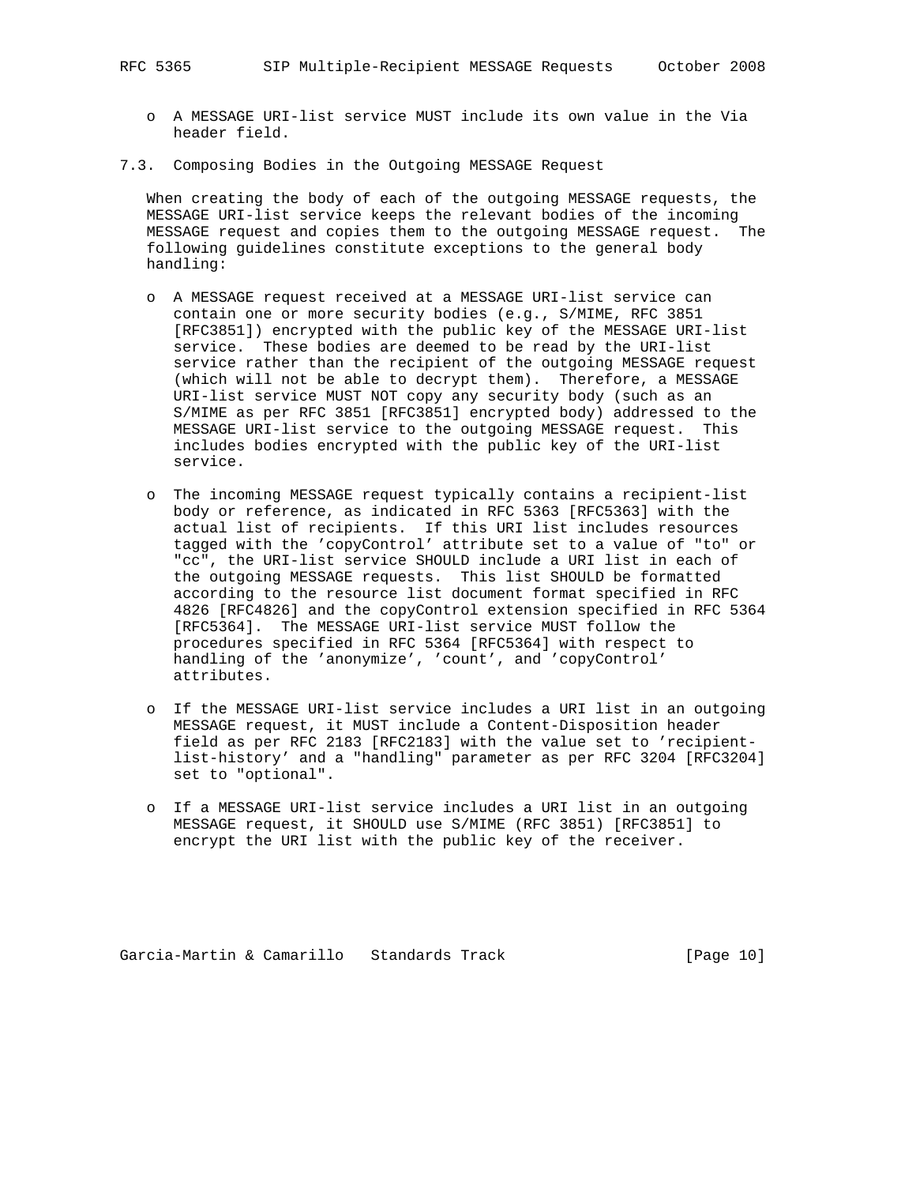- o A MESSAGE URI-list service MUST include its own value in the Via header field.
- 7.3. Composing Bodies in the Outgoing MESSAGE Request

 When creating the body of each of the outgoing MESSAGE requests, the MESSAGE URI-list service keeps the relevant bodies of the incoming MESSAGE request and copies them to the outgoing MESSAGE request. The following guidelines constitute exceptions to the general body handling:

- o A MESSAGE request received at a MESSAGE URI-list service can contain one or more security bodies (e.g., S/MIME, RFC 3851 [RFC3851]) encrypted with the public key of the MESSAGE URI-list service. These bodies are deemed to be read by the URI-list service rather than the recipient of the outgoing MESSAGE request (which will not be able to decrypt them). Therefore, a MESSAGE URI-list service MUST NOT copy any security body (such as an S/MIME as per RFC 3851 [RFC3851] encrypted body) addressed to the MESSAGE URI-list service to the outgoing MESSAGE request. This includes bodies encrypted with the public key of the URI-list service.
- o The incoming MESSAGE request typically contains a recipient-list body or reference, as indicated in RFC 5363 [RFC5363] with the actual list of recipients. If this URI list includes resources tagged with the 'copyControl' attribute set to a value of "to" or "cc", the URI-list service SHOULD include a URI list in each of the outgoing MESSAGE requests. This list SHOULD be formatted according to the resource list document format specified in RFC 4826 [RFC4826] and the copyControl extension specified in RFC 5364 [RFC5364]. The MESSAGE URI-list service MUST follow the procedures specified in RFC 5364 [RFC5364] with respect to handling of the 'anonymize', 'count', and 'copyControl' attributes.
- o If the MESSAGE URI-list service includes a URI list in an outgoing MESSAGE request, it MUST include a Content-Disposition header field as per RFC 2183 [RFC2183] with the value set to 'recipient list-history' and a "handling" parameter as per RFC 3204 [RFC3204] set to "optional".
- o If a MESSAGE URI-list service includes a URI list in an outgoing MESSAGE request, it SHOULD use S/MIME (RFC 3851) [RFC3851] to encrypt the URI list with the public key of the receiver.

Garcia-Martin & Camarillo Standards Track [Page 10]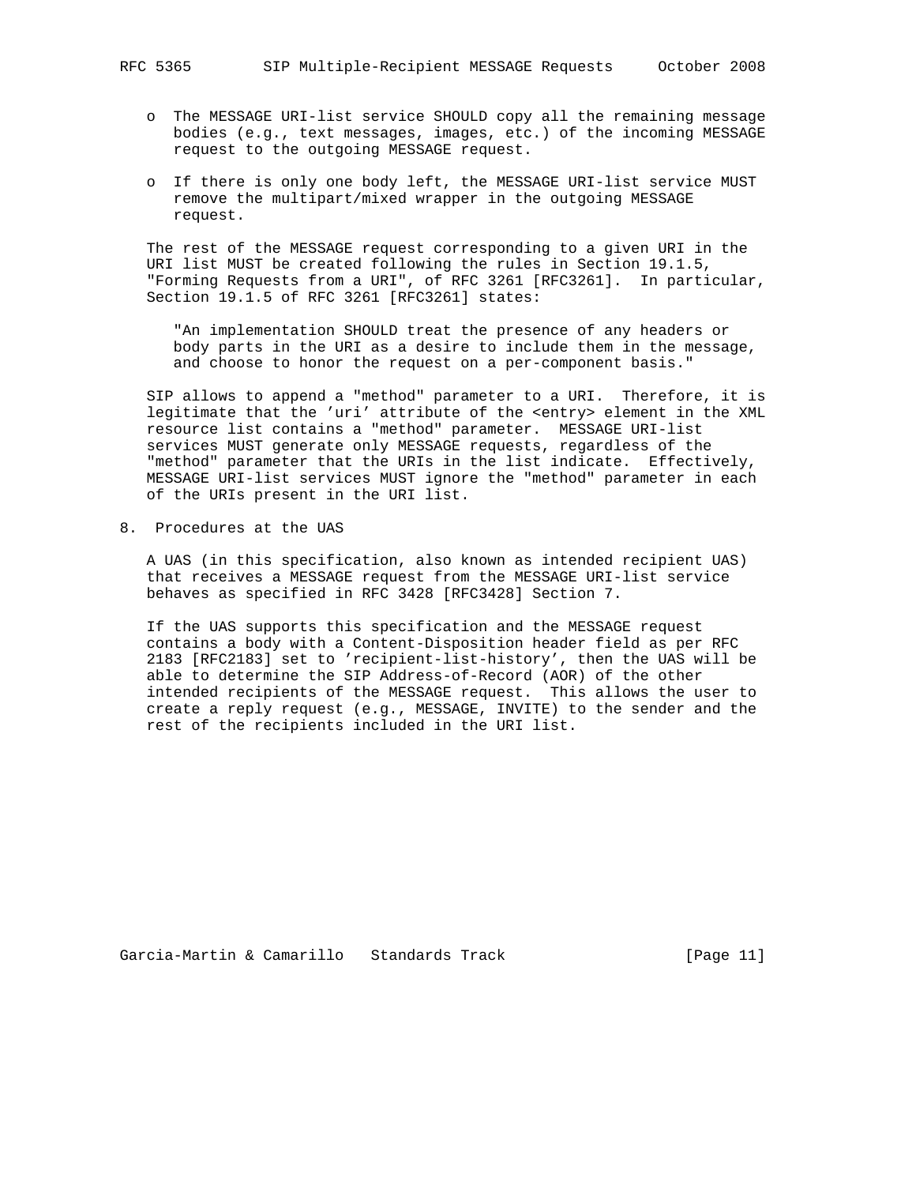- o The MESSAGE URI-list service SHOULD copy all the remaining message bodies (e.g., text messages, images, etc.) of the incoming MESSAGE request to the outgoing MESSAGE request.
- o If there is only one body left, the MESSAGE URI-list service MUST remove the multipart/mixed wrapper in the outgoing MESSAGE request.

 The rest of the MESSAGE request corresponding to a given URI in the URI list MUST be created following the rules in Section 19.1.5, "Forming Requests from a URI", of RFC 3261 [RFC3261]. In particular, Section 19.1.5 of RFC 3261 [RFC3261] states:

 "An implementation SHOULD treat the presence of any headers or body parts in the URI as a desire to include them in the message, and choose to honor the request on a per-component basis."

 SIP allows to append a "method" parameter to a URI. Therefore, it is legitimate that the 'uri' attribute of the <entry> element in the XML resource list contains a "method" parameter. MESSAGE URI-list services MUST generate only MESSAGE requests, regardless of the "method" parameter that the URIs in the list indicate. Effectively, MESSAGE URI-list services MUST ignore the "method" parameter in each of the URIs present in the URI list.

8. Procedures at the UAS

 A UAS (in this specification, also known as intended recipient UAS) that receives a MESSAGE request from the MESSAGE URI-list service behaves as specified in RFC 3428 [RFC3428] Section 7.

 If the UAS supports this specification and the MESSAGE request contains a body with a Content-Disposition header field as per RFC 2183 [RFC2183] set to 'recipient-list-history', then the UAS will be able to determine the SIP Address-of-Record (AOR) of the other intended recipients of the MESSAGE request. This allows the user to create a reply request (e.g., MESSAGE, INVITE) to the sender and the rest of the recipients included in the URI list.

Garcia-Martin & Camarillo Standards Track [Page 11]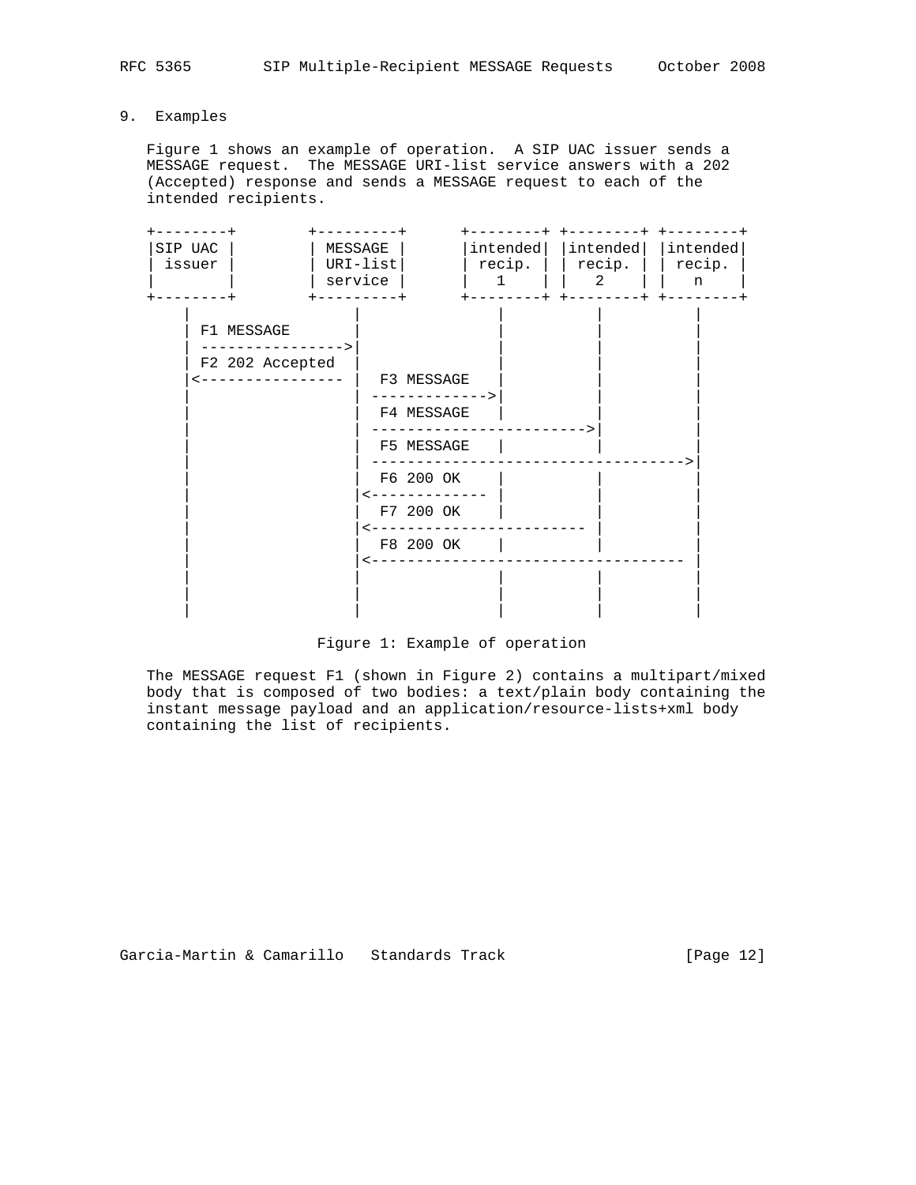9. Examples

 Figure 1 shows an example of operation. A SIP UAC issuer sends a MESSAGE request. The MESSAGE URI-list service answers with a 202 (Accepted) response and sends a MESSAGE request to each of the intended recipients.



Figure 1: Example of operation

 The MESSAGE request F1 (shown in Figure 2) contains a multipart/mixed body that is composed of two bodies: a text/plain body containing the instant message payload and an application/resource-lists+xml body containing the list of recipients.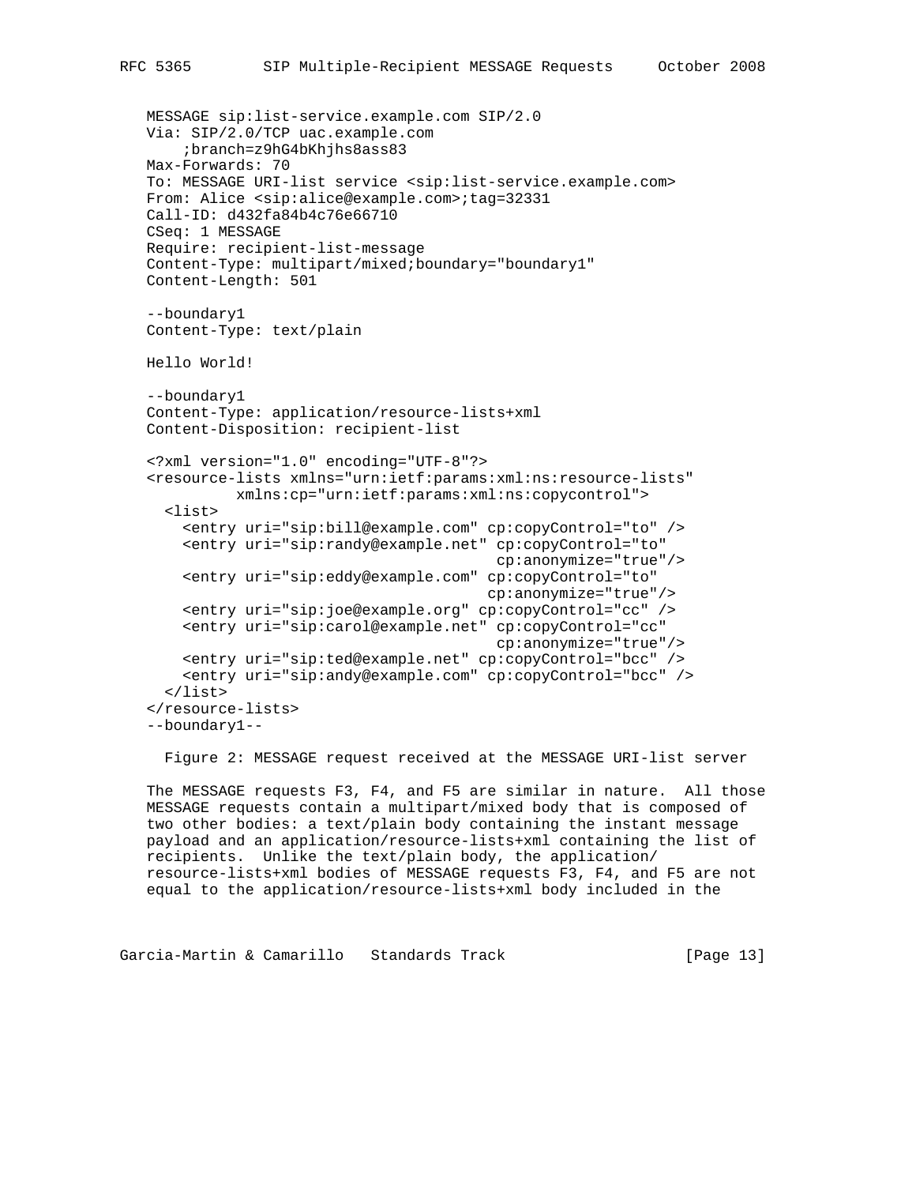```
 MESSAGE sip:list-service.example.com SIP/2.0
 Via: SIP/2.0/TCP uac.example.com
     ;branch=z9hG4bKhjhs8ass83
 Max-Forwards: 70
 To: MESSAGE URI-list service <sip:list-service.example.com>
 From: Alice <sip:alice@example.com>;tag=32331
 Call-ID: d432fa84b4c76e66710
 CSeq: 1 MESSAGE
 Require: recipient-list-message
 Content-Type: multipart/mixed;boundary="boundary1"
 Content-Length: 501
 --boundary1
 Content-Type: text/plain
 Hello World!
 --boundary1
 Content-Type: application/resource-lists+xml
 Content-Disposition: recipient-list
 <?xml version="1.0" encoding="UTF-8"?>
 <resource-lists xmlns="urn:ietf:params:xml:ns:resource-lists"
           xmlns:cp="urn:ietf:params:xml:ns:copycontrol">
   <list>
     <entry uri="sip:bill@example.com" cp:copyControl="to" />
     <entry uri="sip:randy@example.net" cp:copyControl="to"
                                         cp:anonymize="true"/>
     <entry uri="sip:eddy@example.com" cp:copyControl="to"
                                        cp:anonymize="true"/>
     <entry uri="sip:joe@example.org" cp:copyControl="cc" />
     <entry uri="sip:carol@example.net" cp:copyControl="cc"
                                         cp:anonymize="true"/>
     <entry uri="sip:ted@example.net" cp:copyControl="bcc" />
     <entry uri="sip:andy@example.com" cp:copyControl="bcc" />
  \langlelist\rangle </resource-lists>
 --boundary1--
```
Figure 2: MESSAGE request received at the MESSAGE URI-list server

 The MESSAGE requests F3, F4, and F5 are similar in nature. All those MESSAGE requests contain a multipart/mixed body that is composed of two other bodies: a text/plain body containing the instant message payload and an application/resource-lists+xml containing the list of recipients. Unlike the text/plain body, the application/ resource-lists+xml bodies of MESSAGE requests F3, F4, and F5 are not equal to the application/resource-lists+xml body included in the

Garcia-Martin & Camarillo Standards Track [Page 13]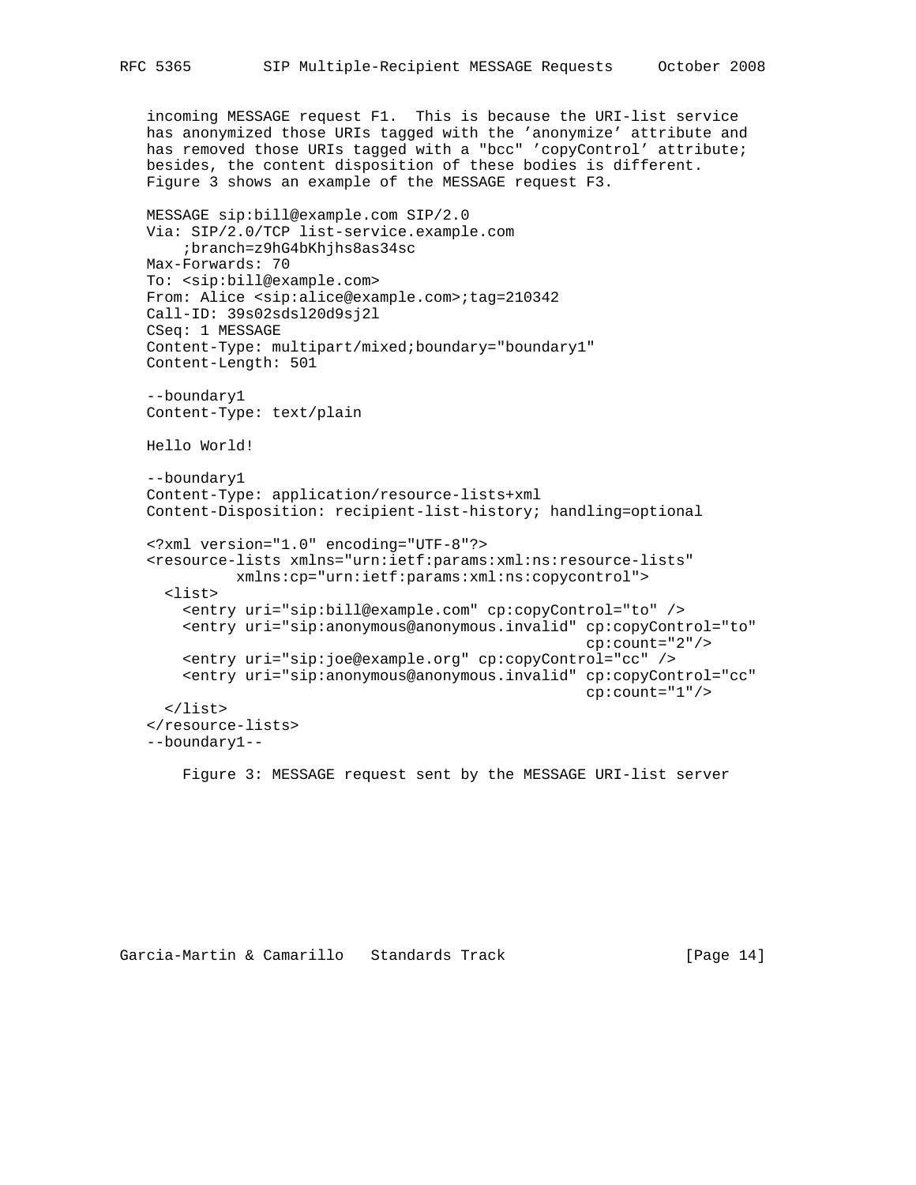```
 incoming MESSAGE request F1. This is because the URI-list service
 has anonymized those URIs tagged with the 'anonymize' attribute and
 has removed those URIs tagged with a "bcc" 'copyControl' attribute;
 besides, the content disposition of these bodies is different.
 Figure 3 shows an example of the MESSAGE request F3.
 MESSAGE sip:bill@example.com SIP/2.0
 Via: SIP/2.0/TCP list-service.example.com
     ;branch=z9hG4bKhjhs8as34sc
 Max-Forwards: 70
 To: <sip:bill@example.com>
From: Alice <sip:alice@example.com>;tag=210342
 Call-ID: 39s02sdsl20d9sj2l
 CSeq: 1 MESSAGE
 Content-Type: multipart/mixed;boundary="boundary1"
 Content-Length: 501
 --boundary1
 Content-Type: text/plain
 Hello World!
 --boundary1
 Content-Type: application/resource-lists+xml
 Content-Disposition: recipient-list-history; handling=optional
 <?xml version="1.0" encoding="UTF-8"?>
 <resource-lists xmlns="urn:ietf:params:xml:ns:resource-lists"
           xmlns:cp="urn:ietf:params:xml:ns:copycontrol">
   <list>
     <entry uri="sip:bill@example.com" cp:copyControl="to" />
     <entry uri="sip:anonymous@anonymous.invalid" cp:copyControl="to"
                                                   cp:count="2"/>
     <entry uri="sip:joe@example.org" cp:copyControl="cc" />
     <entry uri="sip:anonymous@anonymous.invalid" cp:copyControl="cc"
                                                   cp:count="1"/>
   </list>
 </resource-lists>
 --boundary1--
```
Figure 3: MESSAGE request sent by the MESSAGE URI-list server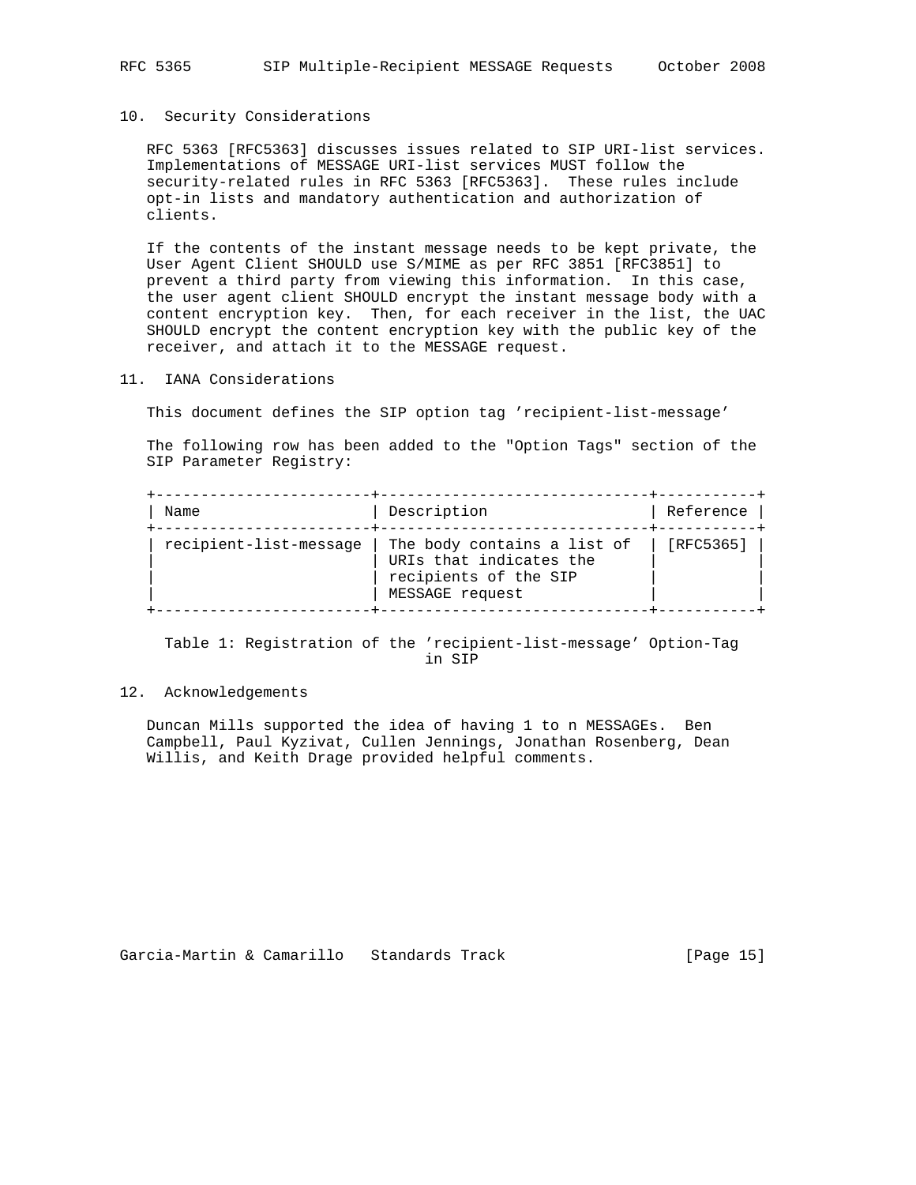# 10. Security Considerations

 RFC 5363 [RFC5363] discusses issues related to SIP URI-list services. Implementations of MESSAGE URI-list services MUST follow the security-related rules in RFC 5363 [RFC5363]. These rules include opt-in lists and mandatory authentication and authorization of clients.

 If the contents of the instant message needs to be kept private, the User Agent Client SHOULD use S/MIME as per RFC 3851 [RFC3851] to prevent a third party from viewing this information. In this case, the user agent client SHOULD encrypt the instant message body with a content encryption key. Then, for each receiver in the list, the UAC SHOULD encrypt the content encryption key with the public key of the receiver, and attach it to the MESSAGE request.

11. IANA Considerations

This document defines the SIP option tag 'recipient-list-message'

 The following row has been added to the "Option Tags" section of the SIP Parameter Registry:

| Name                   | Description                                                                                        | Reference |
|------------------------|----------------------------------------------------------------------------------------------------|-----------|
| recipient-list-message | The body contains a list of<br>URIs that indicates the<br>recipients of the SIP<br>MESSAGE request | [RFC5365] |

 Table 1: Registration of the 'recipient-list-message' Option-Tag in SIP

# 12. Acknowledgements

 Duncan Mills supported the idea of having 1 to n MESSAGEs. Ben Campbell, Paul Kyzivat, Cullen Jennings, Jonathan Rosenberg, Dean Willis, and Keith Drage provided helpful comments.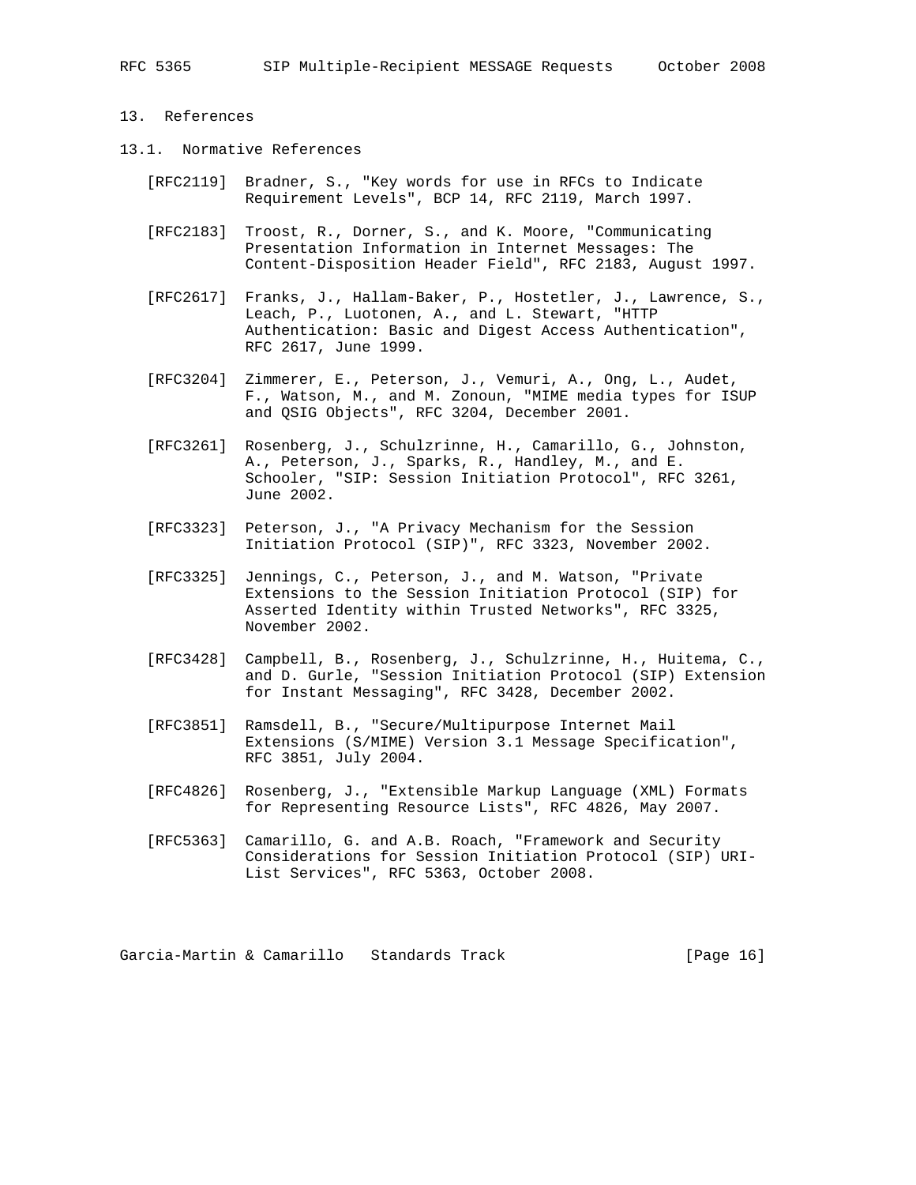# 13. References

- 13.1. Normative References
	- [RFC2119] Bradner, S., "Key words for use in RFCs to Indicate Requirement Levels", BCP 14, RFC 2119, March 1997.
	- [RFC2183] Troost, R., Dorner, S., and K. Moore, "Communicating Presentation Information in Internet Messages: The Content-Disposition Header Field", RFC 2183, August 1997.
	- [RFC2617] Franks, J., Hallam-Baker, P., Hostetler, J., Lawrence, S., Leach, P., Luotonen, A., and L. Stewart, "HTTP Authentication: Basic and Digest Access Authentication", RFC 2617, June 1999.
	- [RFC3204] Zimmerer, E., Peterson, J., Vemuri, A., Ong, L., Audet, F., Watson, M., and M. Zonoun, "MIME media types for ISUP and QSIG Objects", RFC 3204, December 2001.
	- [RFC3261] Rosenberg, J., Schulzrinne, H., Camarillo, G., Johnston, A., Peterson, J., Sparks, R., Handley, M., and E. Schooler, "SIP: Session Initiation Protocol", RFC 3261, June 2002.
	- [RFC3323] Peterson, J., "A Privacy Mechanism for the Session Initiation Protocol (SIP)", RFC 3323, November 2002.
	- [RFC3325] Jennings, C., Peterson, J., and M. Watson, "Private Extensions to the Session Initiation Protocol (SIP) for Asserted Identity within Trusted Networks", RFC 3325, November 2002.
	- [RFC3428] Campbell, B., Rosenberg, J., Schulzrinne, H., Huitema, C., and D. Gurle, "Session Initiation Protocol (SIP) Extension for Instant Messaging", RFC 3428, December 2002.
	- [RFC3851] Ramsdell, B., "Secure/Multipurpose Internet Mail Extensions (S/MIME) Version 3.1 Message Specification", RFC 3851, July 2004.
	- [RFC4826] Rosenberg, J., "Extensible Markup Language (XML) Formats for Representing Resource Lists", RFC 4826, May 2007.
	- [RFC5363] Camarillo, G. and A.B. Roach, "Framework and Security Considerations for Session Initiation Protocol (SIP) URI- List Services", RFC 5363, October 2008.

Garcia-Martin & Camarillo Standards Track [Page 16]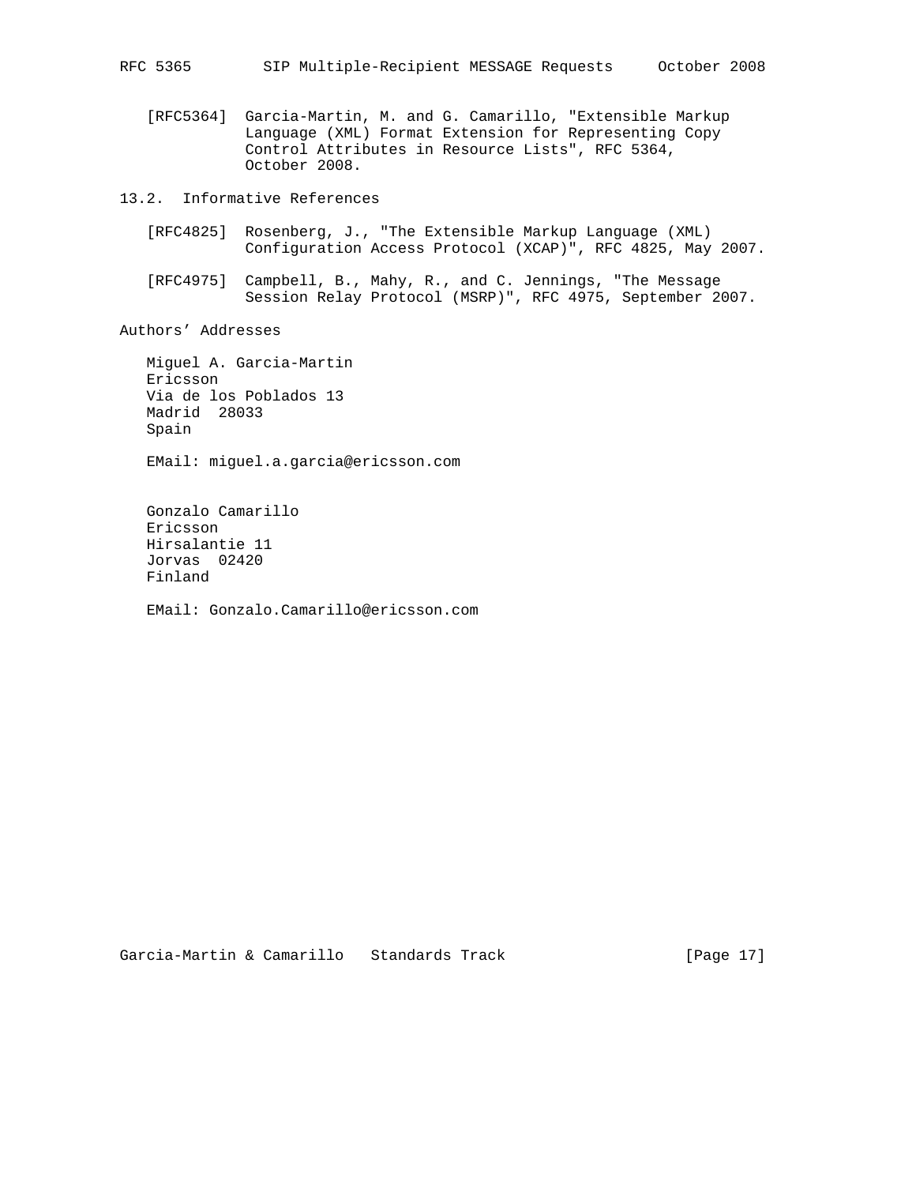[RFC5364] Garcia-Martin, M. and G. Camarillo, "Extensible Markup Language (XML) Format Extension for Representing Copy Control Attributes in Resource Lists", RFC 5364, October 2008.

13.2. Informative References

- [RFC4825] Rosenberg, J., "The Extensible Markup Language (XML) Configuration Access Protocol (XCAP)", RFC 4825, May 2007.
- [RFC4975] Campbell, B., Mahy, R., and C. Jennings, "The Message Session Relay Protocol (MSRP)", RFC 4975, September 2007.

Authors' Addresses

Jorvas 02420

Finland

 Miguel A. Garcia-Martin Ericsson Via de los Poblados 13 Madrid 28033 Spain EMail: miguel.a.garcia@ericsson.com Gonzalo Camarillo Ericsson Hirsalantie 11

EMail: Gonzalo.Camarillo@ericsson.com

Garcia-Martin & Camarillo Standards Track [Page 17]